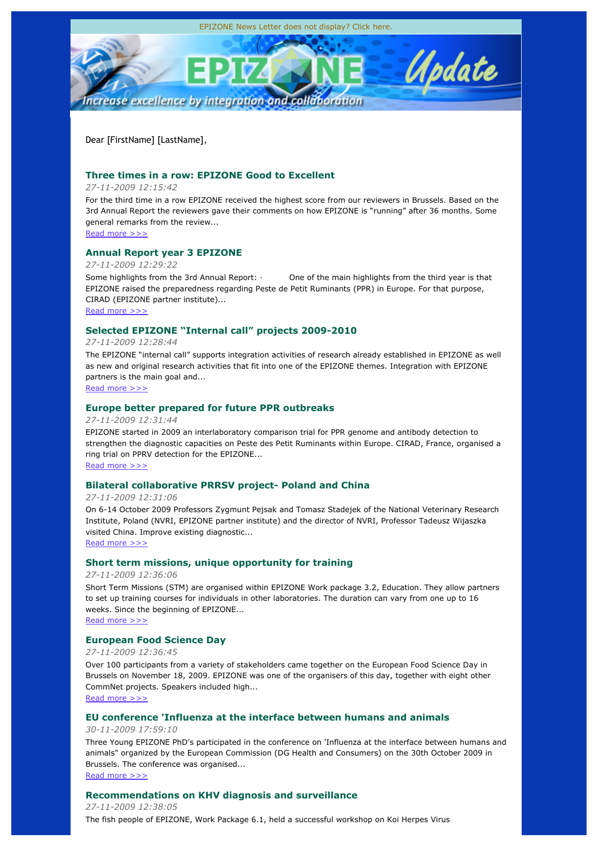

Dear [FirstName] [LastName],

# **Three times in a row: EPIZONE Good to Excellent**

*27-11-2009 12:15:42*

For the third time in a row EPIZONE received the highest score from our reviewers in Brussels. Based on the 3rd Annual Report the reviewers gave their comments on how EPIZONE is "running" after 36 months. Some general remarks from the review...

Read more >>>

# **Annual Report year 3 EPIZONE**

*27-11-2009 12:29:22*

Some highlights from the 3rd Annual Report: · One of the main highlights from the third year is that EPIZONE raised the preparedness regarding Peste de Petit Ruminants (PPR) in Europe. For that purpose, CIRAD (EPIZONE partner institute)...

Read more >>>

# **Selected EPIZONE "Internal call" projects 2009-2010**

*27-11-2009 12:28:44*

The EPIZONE "internal call" supports integration activities of research already established in EPIZONE as well as new and original research activities that fit into one of the EPIZONE themes. Integration with EPIZONE partners is the main goal and...

Read more >>>

# **Europe better prepared for future PPR outbreaks**

*27-11-2009 12:31:44*

EPIZONE started in 2009 an interlaboratory comparison trial for PPR genome and antibody detection to strengthen the diagnostic capacities on Peste des Petit Ruminants within Europe. CIRAD, France, organised a ring trial on PPRV detection for the EPIZONE...

Read more >>>

# **Bilateral collaborative PRRSV project- Poland and China**

*27-11-2009 12:31:06*

On 6-14 October 2009 Professors Zygmunt Pejsak and Tomasz Stadejek of the National Veterinary Research Institute, Poland (NVRI, EPIZONE partner institute) and the director of NVRI, Professor Tadeusz Wijaszka visited China. Improve existing diagnostic... Read more >>>

**Short term missions, unique opportunity for training**

*27-11-2009 12:36:06*

Short Term Missions (STM) are organised within EPIZONE Work package 3.2, Education. They allow partners to set up training courses for individuals in other laboratories. The duration can vary from one up to 16 weeks. Since the beginning of EPIZONE...

Read more >>>

# **European Food Science Day**

*27-11-2009 12:36:45*

Over 100 participants from a variety of stakeholders came together on the European Food Science Day in Brussels on November 18, 2009. EPIZONE was one of the organisers of this day, together with eight other CommNet projects. Speakers included high... Read more >>>

**EU conference 'Influenza at the interface between humans and animals**

*30-11-2009 17:59:10*

Three Young EPIZONE PhD's participated in the conference on 'Influenza at the interface between humans and animals" organized by the European Commission (DG Health and Consumers) on the 30th October 2009 in Brussels. The conference was organised... Read more >>>

# **Recommendations on KHV diagnosis and surveillance**

*27-11-2009 12:38:05* The fish people of EPIZONE, Work Package 6.1, held a successful workshop on Koi Herpes Virus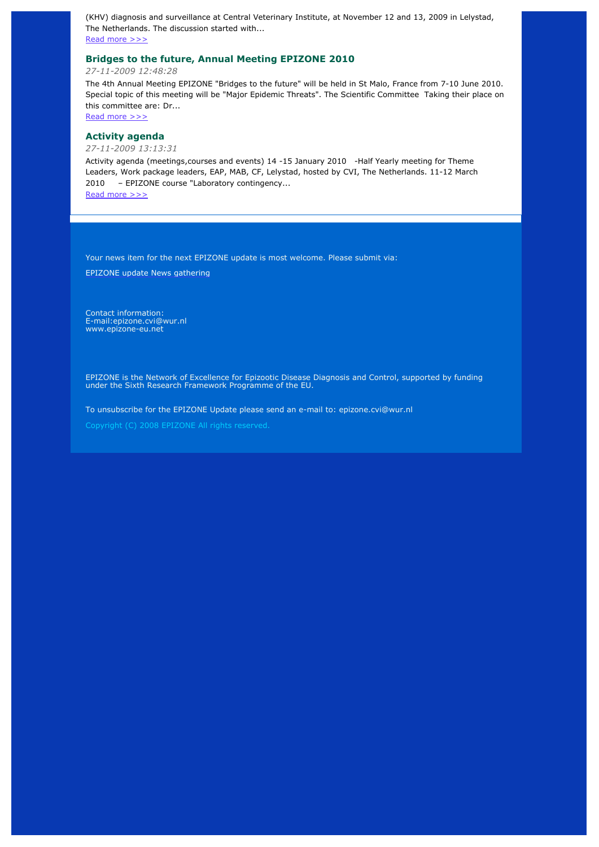(KHV) diagnosis and surveillance at Central Veterinary Institute, at November 12 and 13, 2009 in Lelystad, The Netherlands. The discussion started with...

Read more >>>

# **Bridges to the future, Annual Meeting EPIZONE 2010**

*27-11-2009 12:48:28*

The 4th Annual Meeting EPIZONE "Bridges to the future" will be held in St Malo, France from 7-10 June 2010. Special topic of this meeting will be "Major Epidemic Threats". The Scientific Committee Taking their place on this committee are: Dr...

Read more >>>

# **Activity agenda**

*27-11-2009 13:13:31*

Activity agenda (meetings,courses and events) 14 -15 January 2010 -Half Yearly meeting for Theme Leaders, Work package leaders, EAP, MAB, CF, Lelystad, hosted by CVI, The Netherlands. 11-12 March 2010 – EPIZONE course "Laboratory contingency...

Read more >>>

Your news item for the next EPIZONE update is most welcome. Please submit via:

EPIZONE update News gathering

Contact information: E-mail:epizone.cvi@wur.nl www.epizone-eu.net

EPIZONE is the Network of Excellence for Epizootic Disease Diagnosis and Control, supported by funding under the Sixth Research Framework Programme of the EU.

To unsubscribe for the EPIZONE Update please send an e-mail to: epizone.cvi@wur.nl

Copyright (C) 2008 EPIZONE All rights reserved.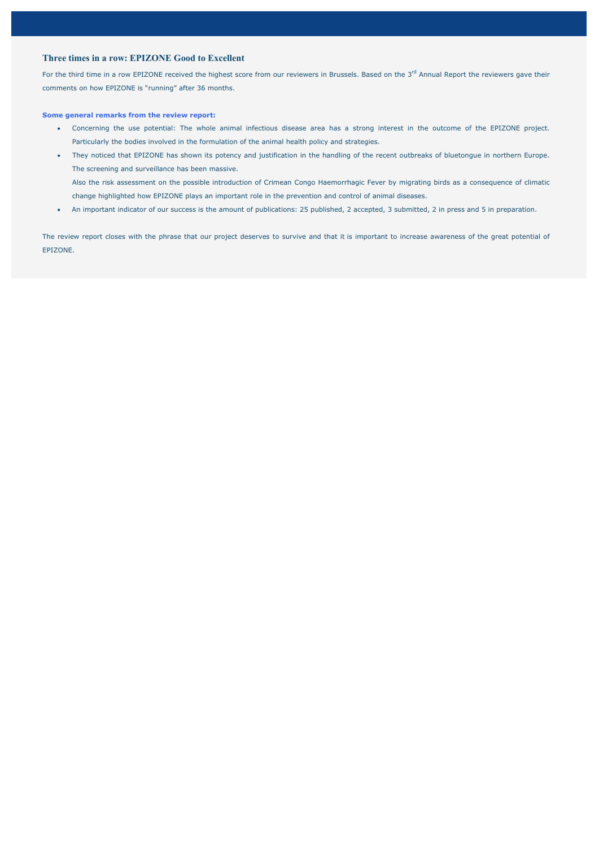# **Three times in a row: EPIZONE Good to Excellent**

For the third time in a row EPIZONE received the highest score from our reviewers in Brussels. Based on the 3<sup>rd</sup> Annual Report the reviewers gave their comments on how EPIZONE is "running" after 36 months.

### **Some general remarks from the review report:**

- x Concerning the use potential: The whole animal infectious disease area has a strong interest in the outcome of the EPIZONE project. Particularly the bodies involved in the formulation of the animal health policy and strategies.
- x They noticed that EPIZONE has shown its potency and justification in the handling of the recent outbreaks of bluetongue in northern Europe. The screening and surveillance has been massive.

Also the risk assessment on the possible introduction of Crimean Congo Haemorrhagic Fever by migrating birds as a consequence of climatic change highlighted how EPIZONE plays an important role in the prevention and control of animal diseases.

An important indicator of our success is the amount of publications: 25 published, 2 accepted, 3 submitted, 2 in press and 5 in preparation.

The review report closes with the phrase that our project deserves to survive and that it is important to increase awareness of the great potential of EPIZONE.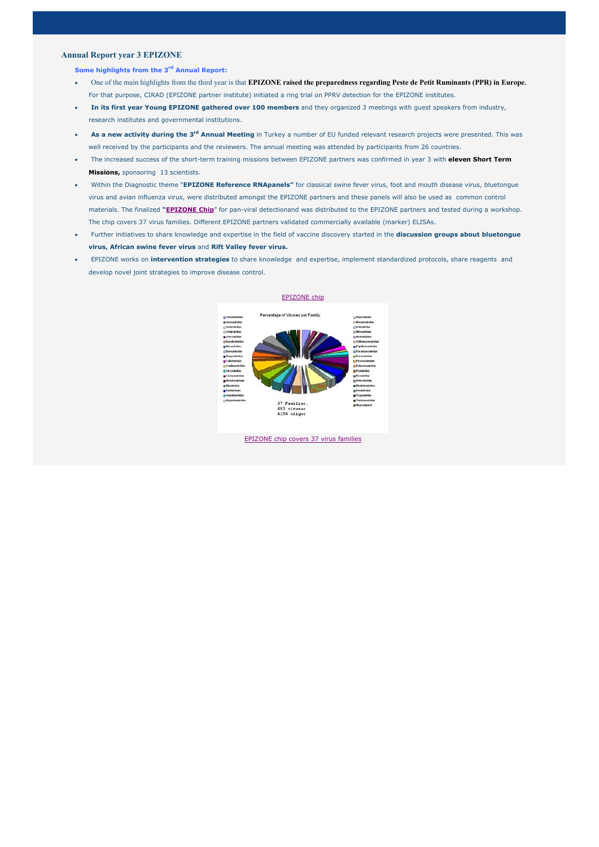## **Annual Report year 3 EPIZONE**

## **Some highlights from the 3rd Annual Report:**

- x One of the main highlights from the third year is that **EPIZONE raised the preparedness regarding Peste de Petit Ruminants (PPR) in Europe.**  For that purpose, CIRAD (EPIZONE partner institute) initiated a ring trial on PPRV detection for the EPIZONE institutes.
- **In its first year Young EPIZONE gathered over 100 members** and they organized 3 meetings with quest speakers from industry, research institutes and governmental institutions.
- **As a new activity during the 3<sup>rd</sup> Annual Meeting** in Turkey a number of EU funded relevant research projects were presented. This was well received by the participants and the reviewers. The annual meeting was attended by participants from 26 countries.
- x The increased success of the short-term training missions between EPIZONE partners was confirmed in year 3 with **eleven Short Term Missions,** sponsoring 13 scientists.
- x Within the Diagnostic theme "**EPIZONE Reference RNApanels"** for classical swine fever virus, foot and mouth disease virus, bluetongue virus and avian influenza virus, were distributed amongst the EPIZONE partners and these panels will also be used as common control materials. The finalized **"EPIZONE Chip**" for pan-viral detectionand was distributed to the EPIZONE partners and tested during a workshop. The chip covers 37 virus families. Different EPIZONE partners validated commercially available (marker) ELISAs.
- x Further initiatives to share knowledge and expertise in the field of vaccine discovery started in the **discussion groups about bluetongue virus, African swine fever virus** and **Rift Valley fever virus.**
- **•** EPIZONE works on **intervention strategies** to share knowledge and expertise, implement standardized protocols, share reagents and develop novel joint strategies to improve disease control.



#### EPIZONE chip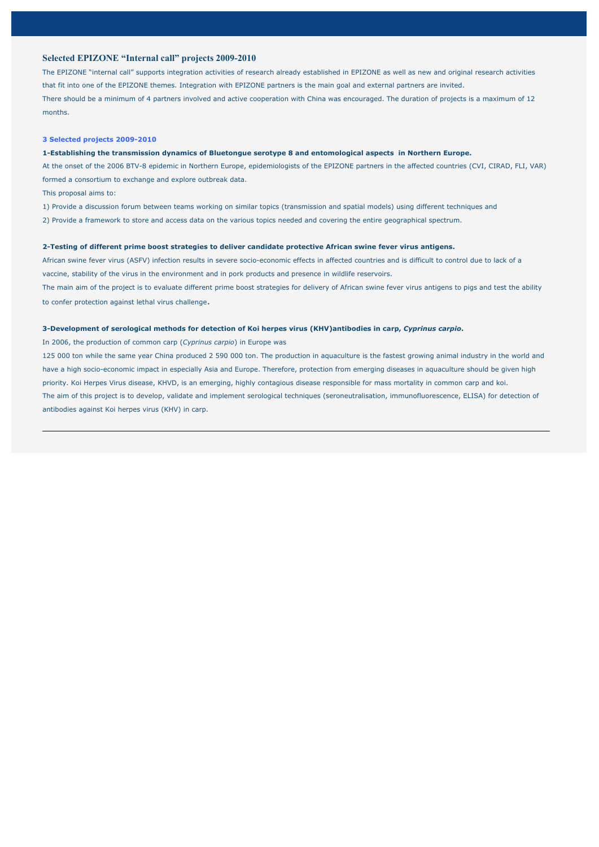## **Selected EPIZONE "Internal call" projects 2009-2010**

The EPIZONE "internal call" supports integration activities of research already established in EPIZONE as well as new and original research activities that fit into one of the EPIZONE themes. Integration with EPIZONE partners is the main goal and external partners are invited. There should be a minimum of 4 partners involved and active cooperation with China was encouraged. The duration of projects is a maximum of 12 months.

#### **3 Selected projects 2009-2010**

### **1-Establishing the transmission dynamics of Bluetongue serotype 8 and entomological aspects in Northern Europe.**

At the onset of the 2006 BTV-8 epidemic in Northern Europe, epidemiologists of the EPIZONE partners in the affected countries (CVI, CIRAD, FLI, VAR) formed a consortium to exchange and explore outbreak data.

This proposal aims to:

1) Provide a discussion forum between teams working on similar topics (transmission and spatial models) using different techniques and

2) Provide a framework to store and access data on the various topics needed and covering the entire geographical spectrum.

## **2-Testing of different prime boost strategies to deliver candidate protective African swine fever virus antigens.**

African swine fever virus (ASFV) infection results in severe socio-economic effects in affected countries and is difficult to control due to lack of a vaccine, stability of the virus in the environment and in pork products and presence in wildlife reservoirs. The main aim of the project is to evaluate different prime boost strategies for delivery of African swine fever virus antigens to pigs and test the ability to confer protection against lethal virus challenge.

### **3-Development of serological methods for detection of Koi herpes virus (KHV)antibodies in carp,** *Cyprinus carpio***.**

In 2006, the production of common carp (*Cyprinus carpio*) in Europe was

125 000 ton while the same year China produced 2 590 000 ton. The production in aquaculture is the fastest growing animal industry in the world and have a high socio-economic impact in especially Asia and Europe. Therefore, protection from emerging diseases in aquaculture should be given high priority. Koi Herpes Virus disease, KHVD, is an emerging, highly contagious disease responsible for mass mortality in common carp and koi. The aim of this project is to develop, validate and implement serological techniques (seroneutralisation, immunofluorescence, ELISA) for detection of antibodies against Koi herpes virus (KHV) in carp.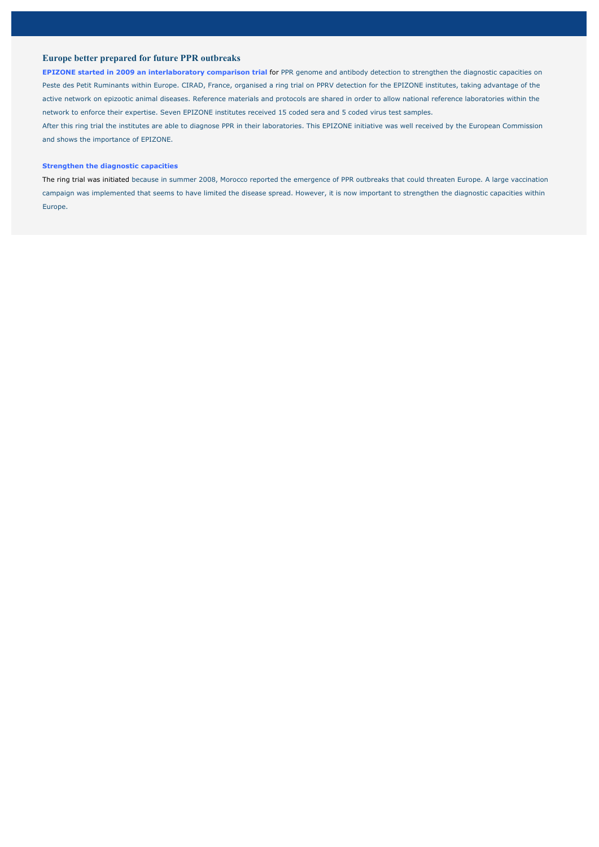# **Europe better prepared for future PPR outbreaks**

**EPIZONE started in 2009 an interlaboratory comparison trial for PPR genome and antibody detection to strengthen the diagnostic capacities on** Peste des Petit Ruminants within Europe. CIRAD, France, organised a ring trial on PPRV detection for the EPIZONE institutes, taking advantage of the active network on epizootic animal diseases. Reference materials and protocols are shared in order to allow national reference laboratories within the network to enforce their expertise. Seven EPIZONE institutes received 15 coded sera and 5 coded virus test samples. After this ring trial the institutes are able to diagnose PPR in their laboratories. This EPIZONE initiative was well received by the European Commission and shows the importance of EPIZONE.

### **Strengthen the diagnostic capacities**

The ring trial was initiated because in summer 2008, Morocco reported the emergence of PPR outbreaks that could threaten Europe. A large vaccination campaign was implemented that seems to have limited the disease spread. However, it is now important to strengthen the diagnostic capacities within Europe.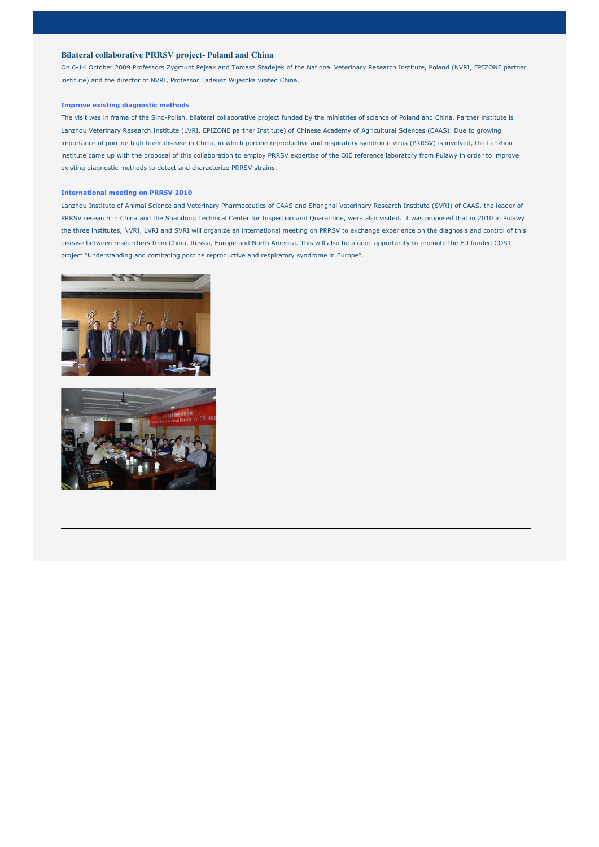## **Bilateral collaborative PRRSV project- Poland and China**

On 6-14 October 2009 Professors Zygmunt Pejsak and Tomasz Stadejek of the National Veterinary Research Institute, Poland (NVRI, EPIZONE partner institute) and the director of NVRI, Professor Tadeusz Wijaszka visited China.

#### **Improve existing diagnostic methods**

The visit was in frame of the Sino-Polish, bilateral collaborative project funded by the ministries of science of Poland and China. Partner institute is Lanzhou Veterinary Research Institute (LVRI, EPIZONE partner Institute) of Chinese Academy of Agricultural Sciences (CAAS). Due to growing importance of porcine high fever disease in China, in which porcine reproductive and respiratory syndrome virus (PRRSV) is involved, the Lanzhou institute came up with the proposal of this collaboration to employ PRRSV expertise of the OIE reference laboratory from Pulawy in order to improve existing diagnostic methods to detect and characterize PRRSV strains.

#### **International meeting on PRRSV 2010**

Lanzhou Institute of Animal Science and Veterinary Pharmaceutics of CAAS and Shanghai Veterinary Research Institute (SVRI) of CAAS, the leader of PRRSV research in China and the Shandong Technical Center for Inspection and Quarantine, were also visited. It was proposed that in 2010 in Pulawy the three institutes, NVRI, LVRI and SVRI will organize an international meeting on PRRSV to exchange experience on the diagnosis and control of this disease between researchers from China, Russia, Europe and North America. This will also be a good opportunity to promote the EU funded COST project "Understanding and combating porcine reproductive and respiratory syndrome in Europe".



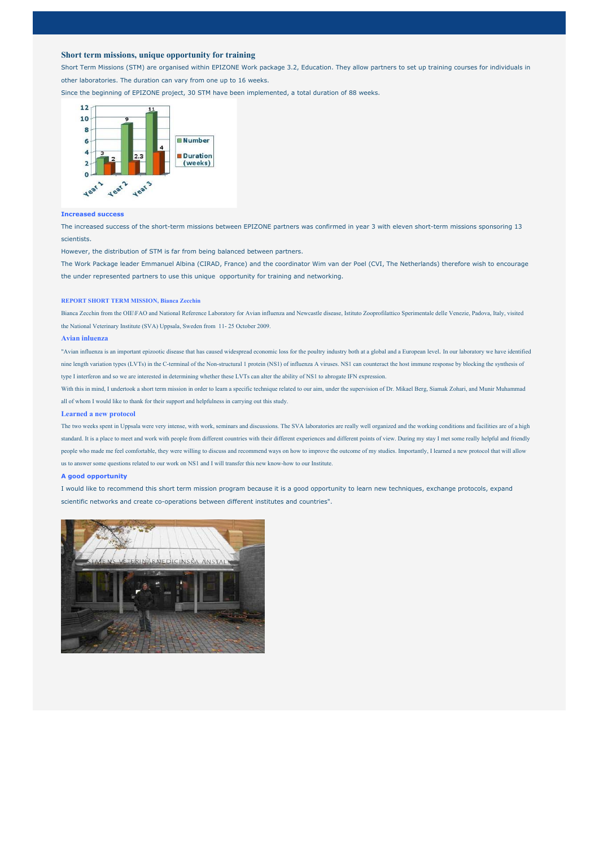## **Short term missions, unique opportunity for training**

Short Term Missions (STM) are organised within EPIZONE Work package 3.2, Education. They allow partners to set up training courses for individuals in other laboratories. The duration can vary from one up to 16 weeks. Since the beginning of EPIZONE project, 30 STM have been implemented, a total duration of 88 weeks.



### **Increased success**

The increased success of the short-term missions between EPIZONE partners was confirmed in year 3 with eleven short-term missions sponsoring 13 scientists.

However, the distribution of STM is far from being balanced between partners.

The Work Package leader Emmanuel Albina (CIRAD, France) and the coordinator Wim van der Poel (CVI, The Netherlands) therefore wish to encourage the under represented partners to use this unique opportunity for training and networking.

### **REPORT SHORT TERM MISSION, Bianca Zecchin**

Bianca Zecchin from the OIE\FAO and National Reference Laboratory for Avian influenza and Newcastle disease, Istituto Zooprofilattico Sperimentale delle Venezie, Padova, Italy, visited the National Veterinary Institute (SVA) Uppsala, Sweden from 11- 25 October 2009.

#### **Avian inluenza**

"Avian influenza is an important epizootic disease that has caused widespread economic loss for the poultry industry both at a global and a European level. In our laboratory we have identified nine length variation types (LVTs) in the C-terminal of the Non-structural 1 protein (NS1) of influenza A viruses. NS1 can counteract the host immune response by blocking the synthesis of type I interferon and so we are interested in determining whether these LVTs can alter the ability of NS1 to abrogate IFN expression.

With this in mind, I undertook a short term mission in order to learn a specific technique related to our aim, under the supervision of Dr. Mikael Berg, Siamak Zohari, and Munir Muhammad all of whom I would like to thank for their support and helpfulness in carrying out this study.

#### **Learned a new protocol**

The two weeks spent in Uppsala were very intense, with work, seminars and discussions. The SVA laboratories are really well organized and the working conditions and facilities are of a high standard. It is a place to meet and work with people from different countries with their different experiences and different points of view. During my stay I met some really helpful and friendly people who made me feel comfortable, they were willing to discuss and recommend ways on how to improve the outcome of my studies. Importantly, I learned a new protocol that will allow us to answer some questions related to our work on NS1 and I will transfer this new know-how to our Institute.

#### **A good opportunity**

I would like to recommend this short term mission program because it is a good opportunity to learn new techniques, exchange protocols, expand scientific networks and create co-operations between different institutes and countries".

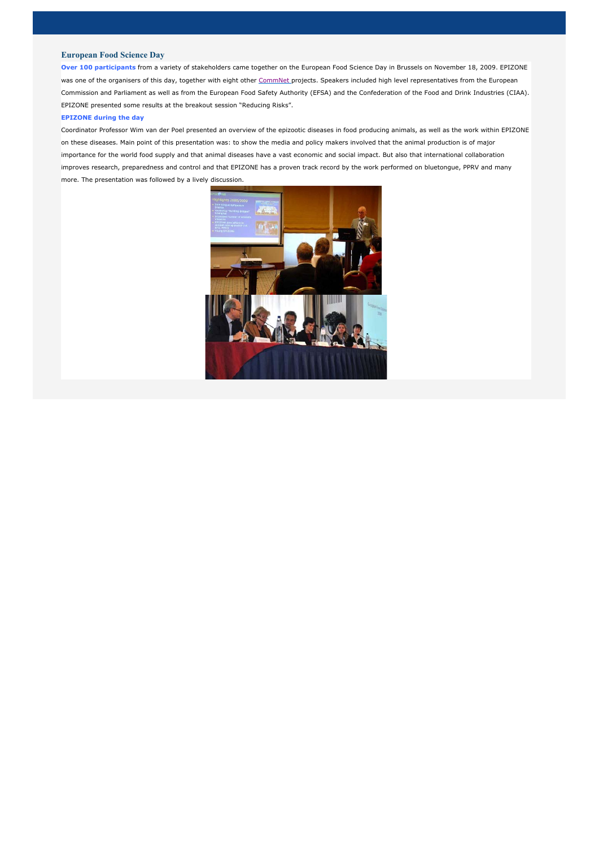## **European Food Science Day**

**Over 100 participants** from a variety of stakeholders came together on the European Food Science Day in Brussels on November 18, 2009. EPIZONE was one of the organisers of this day, together with eight other CommNet projects. Speakers included high level representatives from the European Commission and Parliament as well as from the European Food Safety Authority (EFSA) and the Confederation of the Food and Drink Industries (CIAA). EPIZONE presented some results at the breakout session "Reducing Risks".

#### **EPIZONE during the day**

Coordinator Professor Wim van der Poel presented an overview of the epizootic diseases in food producing animals, as well as the work within EPIZONE on these diseases. Main point of this presentation was: to show the media and policy makers involved that the animal production is of major importance for the world food supply and that animal diseases have a vast economic and social impact. But also that international collaboration improves research, preparedness and control and that EPIZONE has a proven track record by the work performed on bluetongue, PPRV and many more. The presentation was followed by a lively discussion.

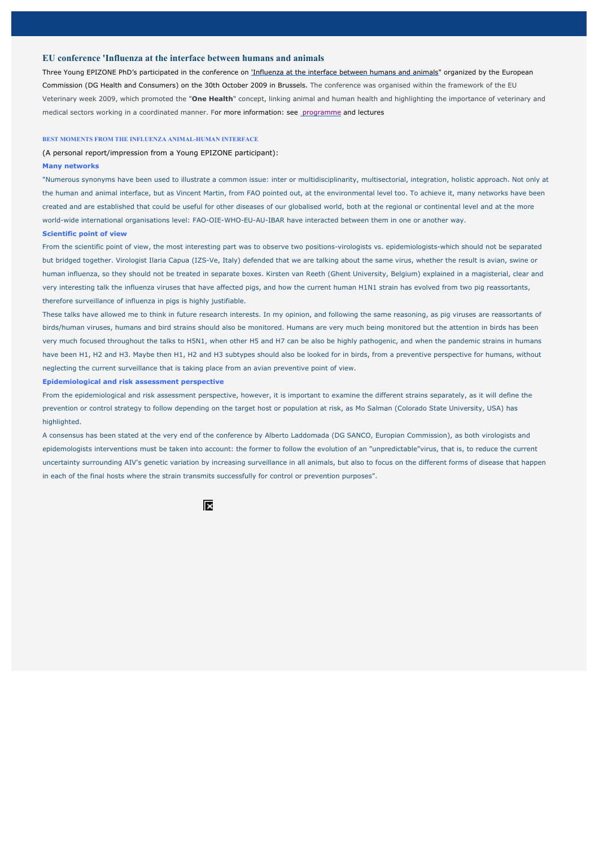## **EU conference 'Influenza at the interface between humans and animals**

Three Young EPIZONE PhD's participated in the conference on 'Influenza at the interface between humans and animals" organized by the European Commission (DG Health and Consumers) on the 30th October 2009 in Brussels. The conference was organised within the framework of the EU Veterinary week 2009, which promoted the "**One Health**" concept, linking animal and human health and highlighting the importance of veterinary and medical sectors working in a coordinated manner. For more information: see programme and lectures

#### **BEST MOMENTS FROM THE INFLUENZA ANIMAL-HUMAN INTERFACE**

(A personal report/impression from a Young EPIZONE participant):

#### **Many networks**

"Numerous synonyms have been used to illustrate a common issue: inter or multidisciplinarity, multisectorial, integration, holistic approach. Not only at the human and animal interface, but as Vincent Martin, from FAO pointed out, at the environmental level too. To achieve it, many networks have been created and are established that could be useful for other diseases of our globalised world, both at the regional or continental level and at the more world-wide international organisations level: FAO-OIE-WHO-EU-AU-IBAR have interacted between them in one or another way.

#### **Scientific point of view**

From the scientific point of view, the most interesting part was to observe two positions-virologists vs. epidemiologists-which should not be separated but bridged together. Virologist Ilaria Capua (IZS-Ve, Italy) defended that we are talking about the same virus, whether the result is avian, swine or human influenza, so they should not be treated in separate boxes. Kirsten van Reeth (Ghent University, Belgium) explained in a magisterial, clear and very interesting talk the influenza viruses that have affected pigs, and how the current human H1N1 strain has evolved from two pig reassortants, therefore surveillance of influenza in pigs is highly justifiable.

These talks have allowed me to think in future research interests. In my opinion, and following the same reasoning, as pig viruses are reassortants of birds/human viruses, humans and bird strains should also be monitored. Humans are very much being monitored but the attention in birds has been very much focused throughout the talks to H5N1, when other H5 and H7 can be also be highly pathogenic, and when the pandemic strains in humans have been H1, H2 and H3. Maybe then H1, H2 and H3 subtypes should also be looked for in birds, from a preventive perspective for humans, without neglecting the current surveillance that is taking place from an avian preventive point of view.

#### **Epidemiological and risk assessment perspective**

From the epidemiological and risk assessment perspective, however, it is important to examine the different strains separately, as it will define the prevention or control strategy to follow depending on the target host or population at risk, as Mo Salman (Colorado State University, USA) has highlighted.

A consensus has been stated at the very end of the conference by Alberto Laddomada (DG SANCO, Europian Commission), as both virologists and epidemologists interventions must be taken into account: the former to follow the evolution of an "unpredictable"virus, that is, to reduce the current uncertainty surrounding AIV's genetic variation by increasing surveillance in all animals, but also to focus on the different forms of disease that happen in each of the final hosts where the strain transmits successfully for control or prevention purposes".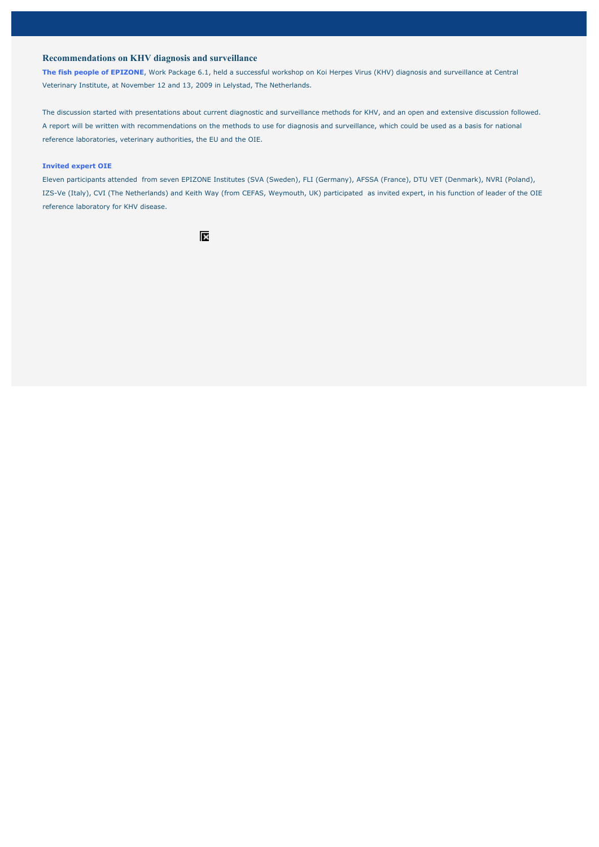# **Recommendations on KHV diagnosis and surveillance**

**The fish people of EPIZONE**, Work Package 6.1, held a successful workshop on Koi Herpes Virus (KHV) diagnosis and surveillance at Central Veterinary Institute, at November 12 and 13, 2009 in Lelystad, The Netherlands.

The discussion started with presentations about current diagnostic and surveillance methods for KHV, and an open and extensive discussion followed. A report will be written with recommendations on the methods to use for diagnosis and surveillance, which could be used as a basis for national reference laboratories, veterinary authorities, the EU and the OIE.

#### **Invited expert OIE**

Eleven participants attended from seven EPIZONE Institutes (SVA (Sweden), FLI (Germany), AFSSA (France), DTU VET (Denmark), NVRI (Poland), IZS-Ve (Italy), CVI (The Netherlands) and Keith Way (from CEFAS, Weymouth, UK) participated as invited expert, in his function of leader of the OIE reference laboratory for KHV disease.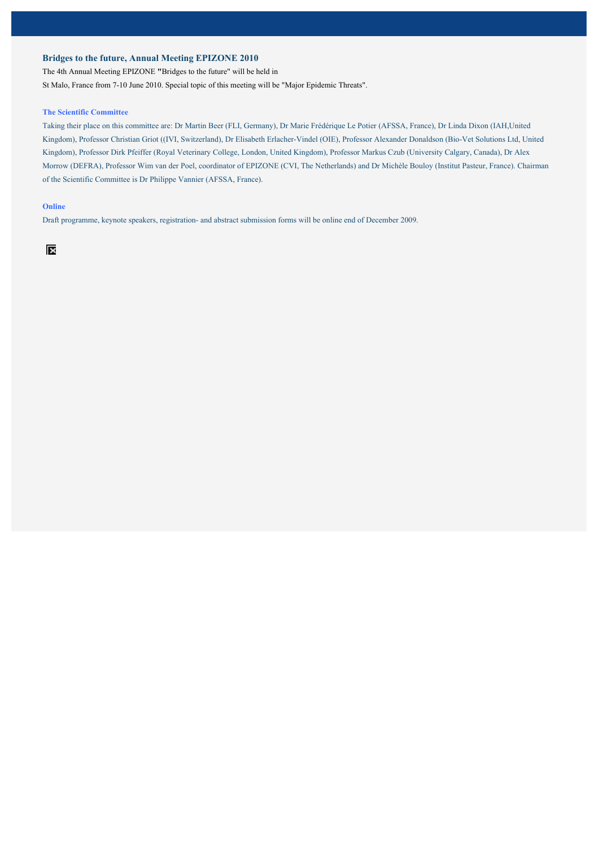# **Bridges to the future, Annual Meeting EPIZONE 2010**

The 4th Annual Meeting EPIZONE **"**Bridges to the future" will be held in

St Malo, France from 7-10 June 2010. Special topic of this meeting will be "Major Epidemic Threats".

## **The Scientific Committee**

Taking their place on this committee are: Dr Martin Beer (FLI, Germany), Dr Marie Frédérique Le Potier (AFSSA, France), Dr Linda Dixon (IAH,United Kingdom), Professor Christian Griot ((IVI, Switzerland), Dr Elisabeth Erlacher-Vindel (OIE), Professor Alexander Donaldson (Bio-Vet Solutions Ltd, United Kingdom), Professor Dirk Pfeiffer (Royal Veterinary College, London, United Kingdom), Professor Markus Czub (University Calgary, Canada), Dr Alex Morrow (DEFRA), Professor Wim van der Poel, coordinator of EPIZONE (CVI, The Netherlands) and Dr Michèle Bouloy (Institut Pasteur, France). Chairman of the Scientific Committee is Dr Philippe Vannier (AFSSA, France).

### **Online**

Draft programme, keynote speakers, registration- and abstract submission forms will be online end of December 2009.